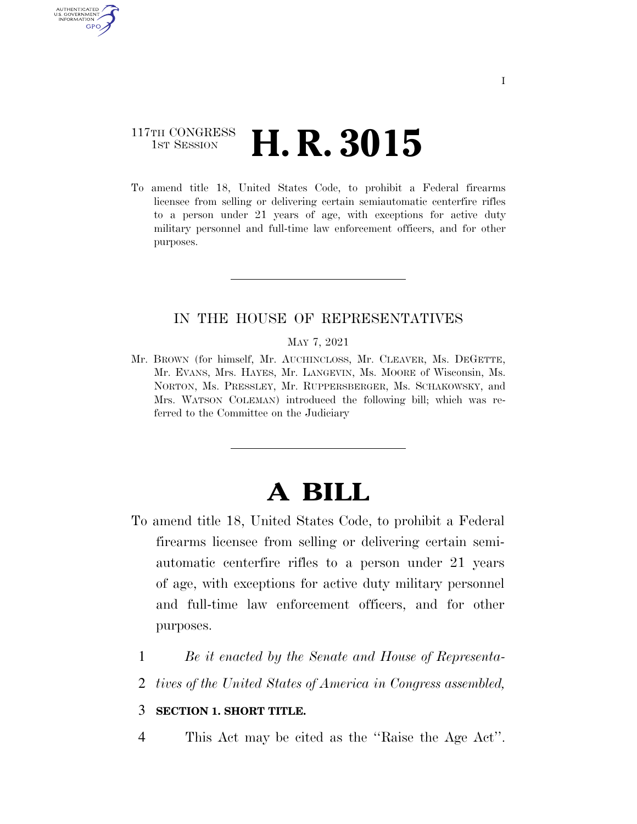## 117TH CONGRESS **1st Session H. R. 3015**

**AUTHENTICATE** U.S. GOVERNMENT **GPO** 

> To amend title 18, United States Code, to prohibit a Federal firearms licensee from selling or delivering certain semiautomatic centerfire rifles to a person under 21 years of age, with exceptions for active duty military personnel and full-time law enforcement officers, and for other purposes.

### IN THE HOUSE OF REPRESENTATIVES

#### MAY 7, 2021

Mr. BROWN (for himself, Mr. AUCHINCLOSS, Mr. CLEAVER, Ms. DEGETTE, Mr. EVANS, Mrs. HAYES, Mr. LANGEVIN, Ms. MOORE of Wisconsin, Ms. NORTON, Ms. PRESSLEY, Mr. RUPPERSBERGER, Ms. SCHAKOWSKY, and Mrs. WATSON COLEMAN) introduced the following bill; which was referred to the Committee on the Judiciary

# **A BILL**

- To amend title 18, United States Code, to prohibit a Federal firearms licensee from selling or delivering certain semiautomatic centerfire rifles to a person under 21 years of age, with exceptions for active duty military personnel and full-time law enforcement officers, and for other purposes.
	- 1 *Be it enacted by the Senate and House of Representa-*
	- 2 *tives of the United States of America in Congress assembled,*

### 3 **SECTION 1. SHORT TITLE.**

4 This Act may be cited as the "Raise the Age Act".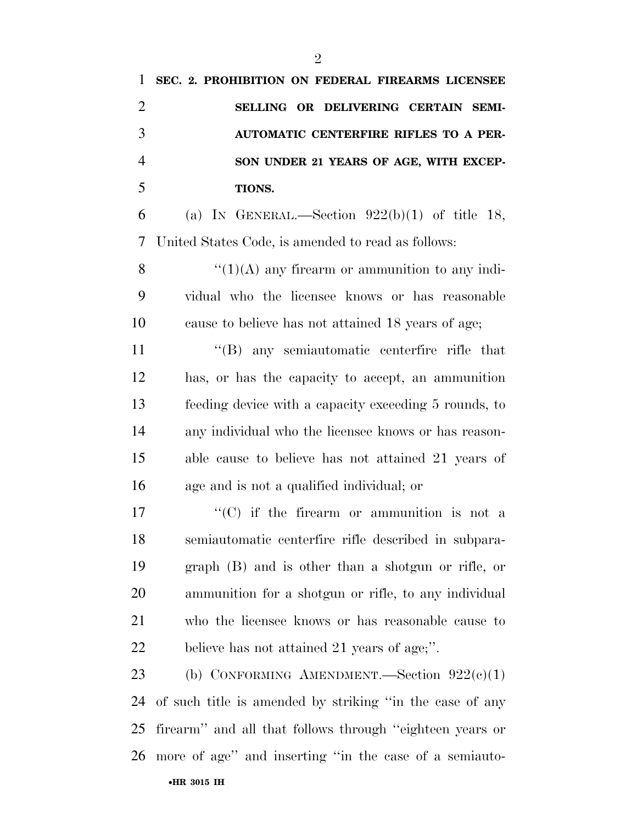| 1              | SEC. 2. PROHIBITION ON FEDERAL FIREARMS LICENSEE         |
|----------------|----------------------------------------------------------|
| $\overline{2}$ | SELLING OR DELIVERING CERTAIN SEMI-                      |
| 3              | <b>AUTOMATIC CENTERFIRE RIFLES TO A PER-</b>             |
| $\overline{4}$ | SON UNDER 21 YEARS OF AGE, WITH EXCEP-                   |
| 5              | TIONS.                                                   |
| 6              | (a) IN GENERAL.—Section $922(b)(1)$ of title 18,         |
| 7              | United States Code, is amended to read as follows:       |
| 8              | $\lq(1)(A)$ any firearm or ammunition to any indi-       |
| 9              | vidual who the licensee knows or has reasonable          |
| 10             | cause to believe has not attained 18 years of age;       |
| 11             | "(B) any semiautomatic centerfire rifle that             |
| 12             | has, or has the capacity to accept, an ammunition        |
| 13             | feeding device with a capacity exceeding 5 rounds, to    |
| 14             | any individual who the licensee knows or has reason-     |
| 15             | able cause to believe has not attained 21 years of       |
| 16             | age and is not a qualified individual; or                |
| 17             | $\lq\lq$ (C) if the firearm or ammunition is not a       |
| 18             | semiautomatic centerfire rifle described in subpara-     |
| 19             | $graph$ (B) and is other than a shotgun or rifle, or     |
| 20             | ammunition for a shotgun or rifle, to any individual     |
| 21             | who the licensee knows or has reasonable cause to        |
| 22             | believe has not attained 21 years of age,".              |
| 23             | (b) CONFORMING AMENDMENT.—Section $922(c)(1)$            |
| 24             | of such title is amended by striking "in the case of any |
| 25             | firearm" and all that follows through "eighteen years or |
| 26             | more of age" and inserting "in the case of a semiauto-   |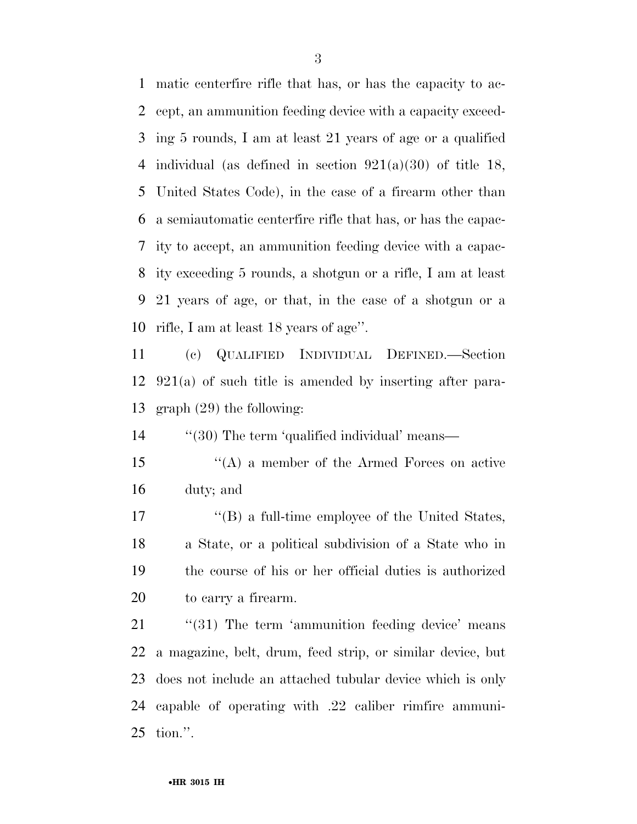matic centerfire rifle that has, or has the capacity to ac- cept, an ammunition feeding device with a capacity exceed- ing 5 rounds, I am at least 21 years of age or a qualified individual (as defined in section 921(a)(30) of title 18, United States Code), in the case of a firearm other than a semiautomatic centerfire rifle that has, or has the capac- ity to accept, an ammunition feeding device with a capac- ity exceeding 5 rounds, a shotgun or a rifle, I am at least 21 years of age, or that, in the case of a shotgun or a rifle, I am at least 18 years of age''.

 (c) QUALIFIED INDIVIDUAL DEFINED.—Section 921(a) of such title is amended by inserting after para-graph (29) the following:

14 ''(30) The term 'qualified individual' means—

 ''(A) a member of the Armed Forces on active duty; and

 ''(B) a full-time employee of the United States, a State, or a political subdivision of a State who in the course of his or her official duties is authorized to carry a firearm.

21 "(31) The term 'ammunition feeding device' means a magazine, belt, drum, feed strip, or similar device, but does not include an attached tubular device which is only capable of operating with .22 caliber rimfire ammuni-tion.''.